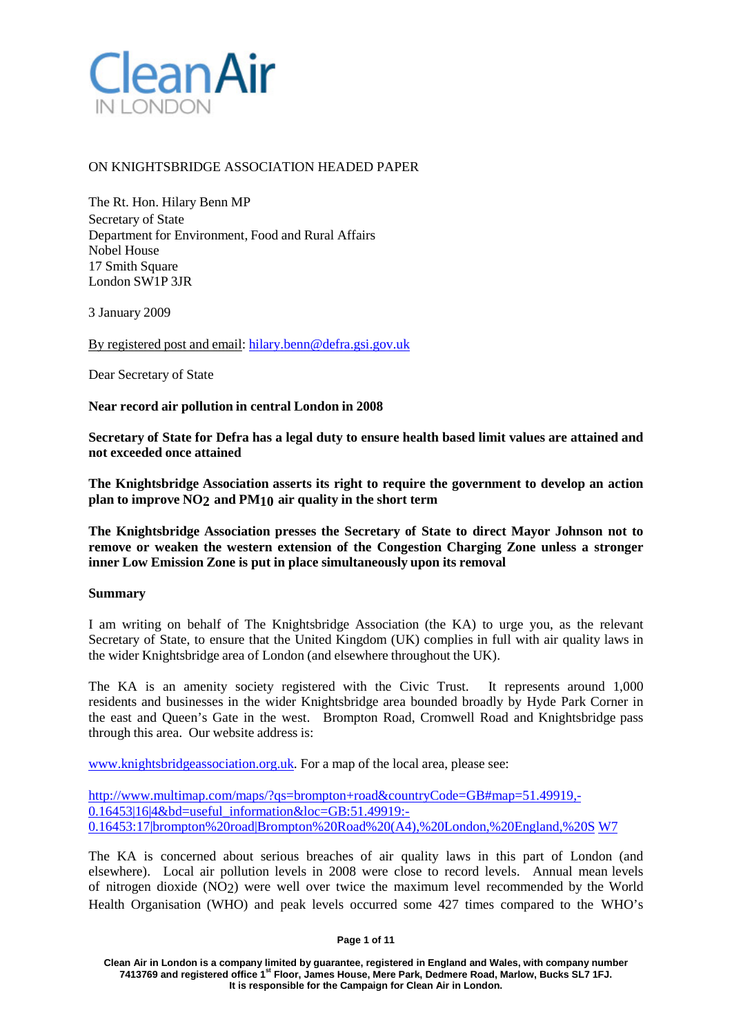

# ON KNIGHTSBRIDGE ASSOCIATION HEADED PAPER

The Rt. Hon. Hilary Benn MP Secretary of State Department for Environment, Food and Rural Affairs Nobel House 17 Smith Square London SW1P 3JR

3 January 2009

By registered post and email: [hilary.benn@defra.gsi.gov.uk](mailto:hilary.benn@defra.gsi.gov.uk)

Dear Secretary of State

### **Near record air pollution in central London in 2008**

**Secretary of State for Defra has a legal duty to ensure health based limit values are attained and not exceeded once attained**

**The Knightsbridge Association asserts its right to require the government to develop an action plan to improve NO2 and PM10 air quality in the short term**

**The Knightsbridge Association presses the Secretary of State to direct Mayor Johnson not to remove or weaken the western extension of the Congestion Charging Zone unless a stronger inner Low Emission Zone is put in place simultaneously upon its removal**

#### **Summary**

I am writing on behalf of The Knightsbridge Association (the KA) to urge you, as the relevant Secretary of State, to ensure that the United Kingdom (UK) complies in full with air quality laws in the wider Knightsbridge area of London (and elsewhere throughout the UK).

The KA is an amenity society registered with the Civic Trust. It represents around 1,000 residents and businesses in the wider Knightsbridge area bounded broadly by Hyde Park Corner in the east and Queen's Gate in the west. Brompton Road, Cromwell Road and Knightsbridge pass through this area. Our website address is:

[www.knightsbridgeassociation.org.uk.](http://www.knightsbridgeassociation.org.uk/) For a map of the local area, please see:

[http://www.multimap.com/maps/?qs=brompton+road&countryCode=GB#map=51.49919,-](http://www.multimap.com/maps/?qs=brompton%2Broad&countryCode=GB&map=51.49919%2C-) 0.16453|16|4&bd=useful\_information&loc=GB:51.49919:-0.16453:17|brompton%20road|Brompton%20Road%20(A4),%20London,%20England,%20S W7

The KA is concerned about serious breaches of air quality laws in this part of London (and elsewhere). Local air pollution levels in 2008 were close to record levels. Annual mean levels of nitrogen dioxide (NO2) were well over twice the maximum level recommended by the World Health Organisation (WHO) and peak levels occurred some 427 times compared to the WHO's

#### **Page 1 of 11**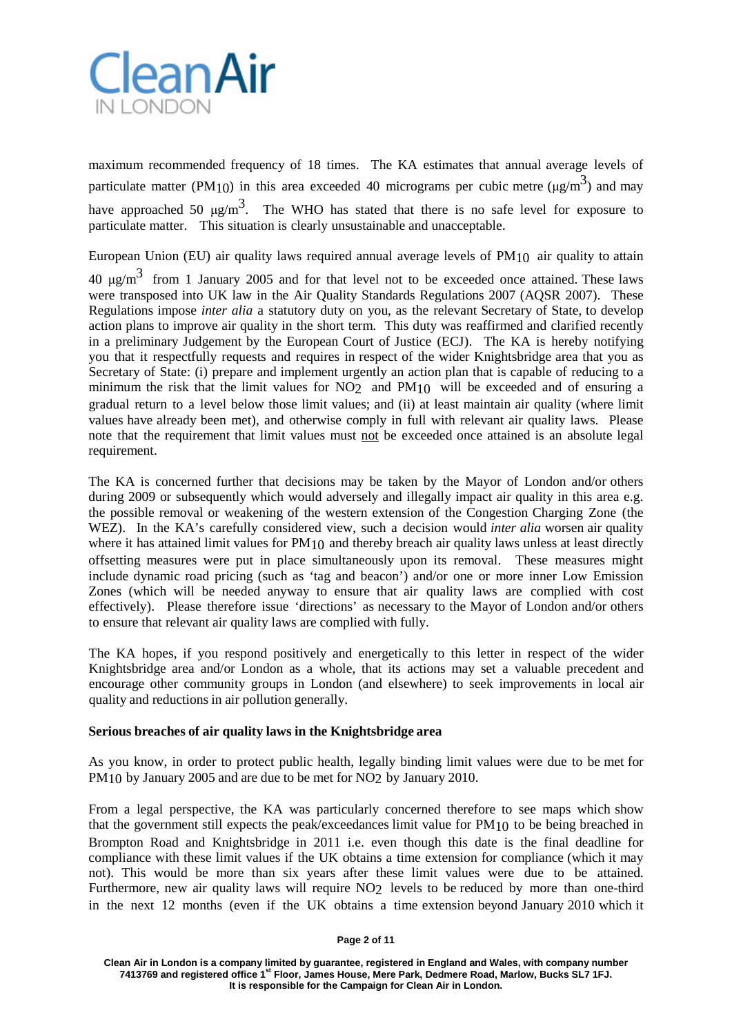

maximum recommended frequency of 18 times. The KA estimates that annual average levels of particulate matter (PM<sub>10</sub>) in this area exceeded 40 micrograms per cubic metre ( $\mu$ g/m<sup>3</sup>) and may have approached 50  $\mu$ g/m<sup>3</sup>. The WHO has stated that there is no safe level for exposure to particulate matter. This situation is clearly unsustainable and unacceptable.

European Union (EU) air quality laws required annual average levels of PM10 air quality to attain

 $40 \text{ μg/m}^3$  from 1 January 2005 and for that level not to be exceeded once attained. These laws were transposed into UK law in the Air Quality Standards Regulations 2007 (AQSR 2007). These Regulations impose *inter alia* a statutory duty on you, as the relevant Secretary of State, to develop action plans to improve air quality in the short term. This duty was reaffirmed and clarified recently in a preliminary Judgement by the European Court of Justice (ECJ). The KA is hereby notifying you that it respectfully requests and requires in respect of the wider Knightsbridge area that you as Secretary of State: (i) prepare and implement urgently an action plan that is capable of reducing to a minimum the risk that the limit values for NO<sub>2</sub> and PM<sub>10</sub> will be exceeded and of ensuring a gradual return to a level below those limit values; and (ii) at least maintain air quality (where limit values have already been met), and otherwise comply in full with relevant air quality laws. Please note that the requirement that limit values must not be exceeded once attained is an absolute legal requirement.

The KA is concerned further that decisions may be taken by the Mayor of London and/or others during 2009 or subsequently which would adversely and illegally impact air quality in this area e.g. the possible removal or weakening of the western extension of the Congestion Charging Zone (the WEZ). In the KA's carefully considered view, such a decision would *inter alia* worsen air quality where it has attained limit values for PM<sub>10</sub> and thereby breach air quality laws unless at least directly offsetting measures were put in place simultaneously upon its removal. These measures might include dynamic road pricing (such as 'tag and beacon') and/or one or more inner Low Emission Zones (which will be needed anyway to ensure that air quality laws are complied with cost effectively). Please therefore issue 'directions' as necessary to the Mayor of London and/or others to ensure that relevant air quality laws are complied with fully.

The KA hopes, if you respond positively and energetically to this letter in respect of the wider Knightsbridge area and/or London as a whole, that its actions may set a valuable precedent and encourage other community groups in London (and elsewhere) to seek improvements in local air quality and reductions in air pollution generally.

## **Serious breaches of air quality laws in the Knightsbridge area**

As you know, in order to protect public health, legally binding limit values were due to be met for PM<sub>10</sub> by January 2005 and are due to be met for NO<sub>2</sub> by January 2010.

From a legal perspective, the KA was particularly concerned therefore to see maps which show that the government still expects the peak/exceedances limit value for PM10 to be being breached in Brompton Road and Knightsbridge in 2011 i.e. even though this date is the final deadline for compliance with these limit values if the UK obtains a time extension for compliance (which it may not). This would be more than six years after these limit values were due to be attained. Furthermore, new air quality laws will require NO<sub>2</sub> levels to be reduced by more than one-third in the next 12 months (even if the UK obtains a time extension beyond January 2010 which it

**Page 2 of 11**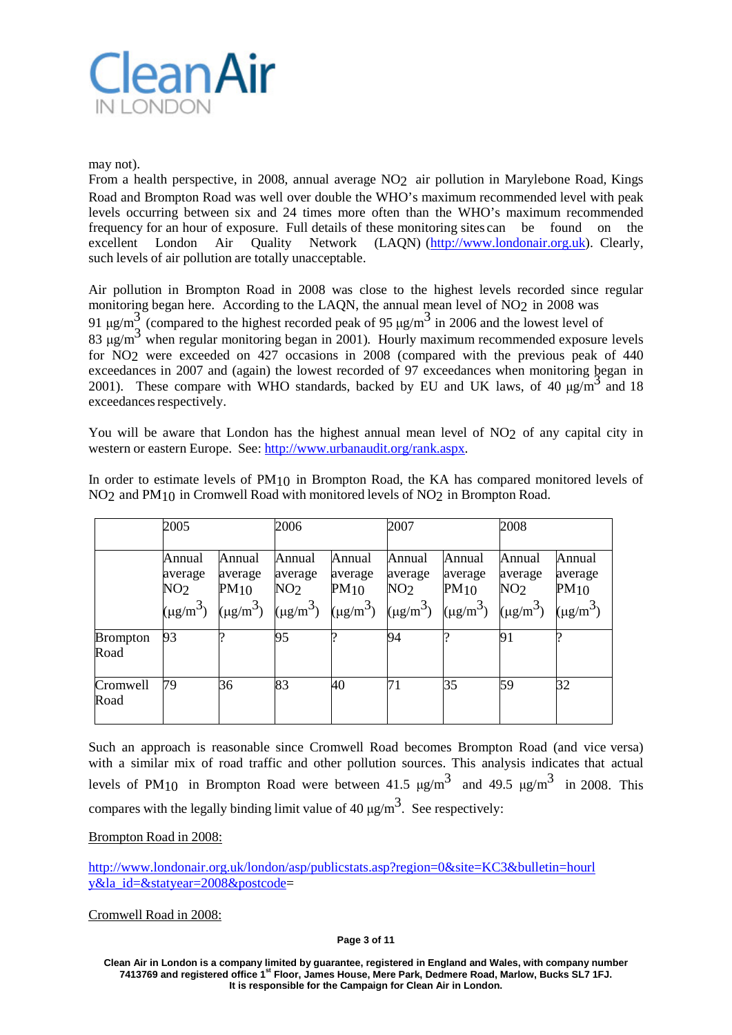

may not).

From a health perspective, in 2008, annual average NO2 air pollution in Marylebone Road, Kings Road and Brompton Road was well over double the WHO's maximum recommended level with peak levels occurring between six and 24 times more often than the WHO's maximum recommended frequency for an hour of exposure. Full details of these monitoring sites can be found on the excellent London Air Quality Network (LAQN) (http://www.londonair.org.uk). Clearly, such levels of air pollution are totally unacceptable.

Air pollution in Brompton Road in 2008 was close to the highest levels recorded since regular monitoring began here. According to the LAQN, the annual mean level of NO2 in 2008 was 91 μg/m<sup>3</sup> (compared to the highest recorded peak of 95 μg/m<sup>3</sup> in 2006 and the lowest level of 83 μg/m<sup>3</sup> when regular monitoring began in 2001). Hourly maximum recommended exposure levels for NO<sub>2</sub> were exceeded on 427 occasions in 2008 (compared with the previous peak of 440 exceedances in 2007 and (again) the lowest recorded of 97 exceedances when monitoring began in 2001). These compare with WHO standards, backed by EU and UK laws, of 40  $\mu$ g/m<sup>3</sup> and 18 exceedances respectively.

You will be aware that London has the highest annual mean level of NO<sub>2</sub> of any capital city in western or eastern Europe. See: [http://www.urbanaudit.org/rank.aspx.](http://www.urbanaudit.org/rank.aspx)

In order to estimate levels of PM10 in Brompton Road, the KA has compared monitored levels of NO2 and PM10 in Cromwell Road with monitored levels of NO2 in Brompton Road.

|                         | 2005                                 |                           | 2006                                 |                                                                                                                                                                                                                                                                                                                                    | 2007                                 |                           | 2008                                 |                           |
|-------------------------|--------------------------------------|---------------------------|--------------------------------------|------------------------------------------------------------------------------------------------------------------------------------------------------------------------------------------------------------------------------------------------------------------------------------------------------------------------------------|--------------------------------------|---------------------------|--------------------------------------|---------------------------|
|                         | Annual<br>average<br>NO <sub>2</sub> | Annual<br>average<br>PM10 | Annual<br>average<br>NO <sub>2</sub> | Annual<br>average<br>PM10<br>$\begin{bmatrix} \mu g/m^3 \end{bmatrix}$ $\begin{bmatrix} \mu g/m^3 \end{bmatrix}$ $\begin{bmatrix} \mu g/m^3 \end{bmatrix}$ $\begin{bmatrix} \mu g/m^3 \end{bmatrix}$ $\begin{bmatrix} \mu g/m^3 \end{bmatrix}$ $\begin{bmatrix} \mu g/m^3 \end{bmatrix}$ $\begin{bmatrix} \mu g/m^3 \end{bmatrix}$ | Annual<br>average<br>NO <sub>2</sub> | Annual<br>average<br>PM10 | Annual<br>average<br>NO <sub>2</sub> | Annual<br>average<br>PM10 |
| <b>Brompton</b><br>Road | 93                                   |                           | 95                                   |                                                                                                                                                                                                                                                                                                                                    | 94                                   |                           | 91                                   |                           |
| Cromwell<br>Road        | 79                                   | 36                        | 83                                   | 40                                                                                                                                                                                                                                                                                                                                 | 71                                   | 35                        | 59                                   | 32                        |

Such an approach is reasonable since Cromwell Road becomes Brompton Road (and vice versa) with a similar mix of road traffic and other pollution sources. This analysis indicates that actual levels of PM<sub>10</sub> in Brompton Road were between 41.5  $\mu$ g/m<sup>3</sup> and 49.5  $\mu$ g/m<sup>3</sup> in 2008. This compares with the legally binding limit value of 40  $\mu$ g/m<sup>3</sup>. See respectively:

## Brompton Road in 2008:

<http://www.londonair.org.uk/london/asp/publicstats.asp?region=0&site=KC3&bulletin=hourl> y&la\_id=&statyear=2008&postcode=

Cromwell Road in 2008:

**Page 3 of 11**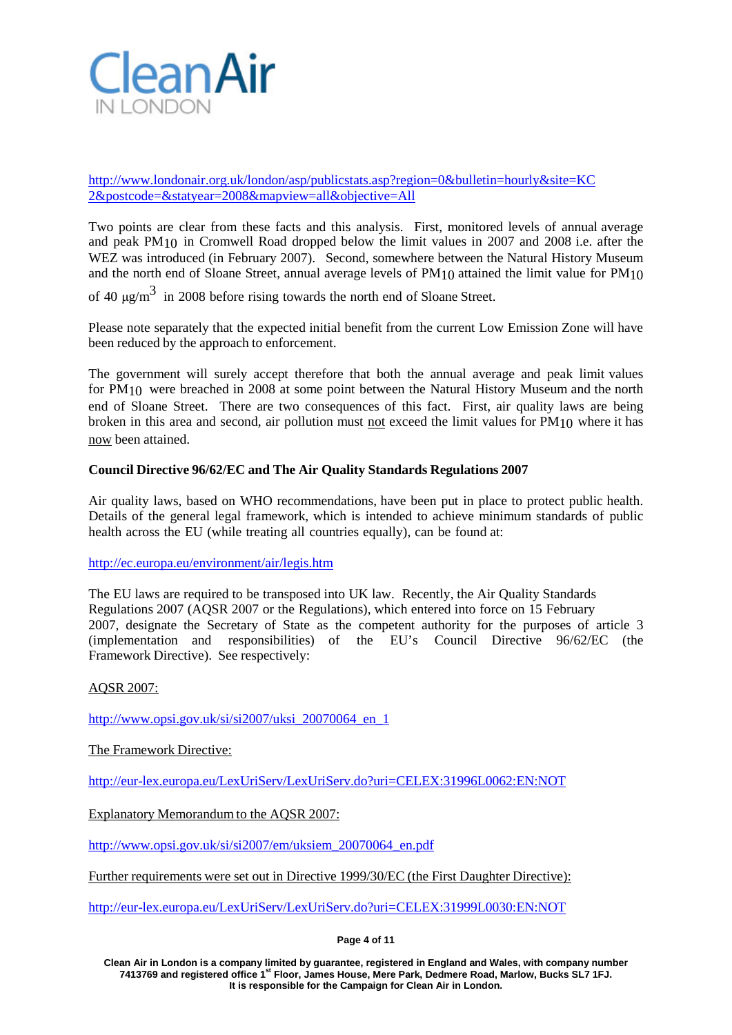

<http://www.londonair.org.uk/london/asp/publicstats.asp?region=0&bulletin=hourly&site=KC> 2&postcode=&statyear=2008&mapview=all&objective=All

Two points are clear from these facts and this analysis. First, monitored levels of annual average and peak PM10 in Cromwell Road dropped below the limit values in 2007 and 2008 i.e. after the WEZ was introduced (in February 2007). Second, somewhere between the Natural History Museum and the north end of Sloane Street, annual average levels of PM10 attained the limit value for PM10

of 40  $\mu$ g/m<sup>3</sup> in 2008 before rising towards the north end of Sloane Street.

Please note separately that the expected initial benefit from the current Low Emission Zone will have been reduced by the approach to enforcement.

The government will surely accept therefore that both the annual average and peak limit values for PM10 were breached in 2008 at some point between the Natural History Museum and the north end of Sloane Street. There are two consequences of this fact. First, air quality laws are being broken in this area and second, air pollution must not exceed the limit values for PM10 where it has now been attained.

## **Council Directive 96/62/EC and The Air Quality Standards Regulations 2007**

Air quality laws, based on WHO recommendations, have been put in place to protect public health. Details of the general legal framework, which is intended to achieve minimum standards of public health across the EU (while treating all countries equally), can be found at:

<http://ec.europa.eu/environment/air/legis.htm>

The EU laws are required to be transposed into UK law. Recently, the Air Quality Standards Regulations 2007 (AQSR 2007 or the Regulations), which entered into force on 15 February 2007, designate the Secretary of State as the competent authority for the purposes of article 3 (implementation and responsibilities) of the EU's Council Directive 96/62/EC (the Framework Directive). See respectively:

## AQSR 2007:

[http://www.opsi.gov.uk/si/si2007/uksi\\_20070064\\_en\\_1](http://www.opsi.gov.uk/si/si2007/uksi_20070064_en_1)

The Framework Directive:

[http://eur-lex.europa.eu/LexUriServ/LexUriServ.do?uri=CELEX:31996L0062:EN:NOT](http://eur-lex.europa.eu/LexUriServ/LexUriServ.do?uri=CELEX%3A31996L0062%3AEN%3ANOT)

Explanatory Memorandum to the AQSR 2007:

[http://www.opsi.gov.uk/si/si2007/em/uksiem\\_20070064\\_en.pdf](http://www.opsi.gov.uk/si/si2007/em/uksiem_20070064_en.pdf)

Further requirements were set out in Directive 1999/30/EC (the First Daughter Directive):

[http://eur-lex.europa.eu/LexUriServ/LexUriServ.do?uri=CELEX:31999L0030:EN:NOT](http://eur-lex.europa.eu/LexUriServ/LexUriServ.do?uri=CELEX%3A31999L0030%3AEN%3ANOT)

**Page 4 of 11**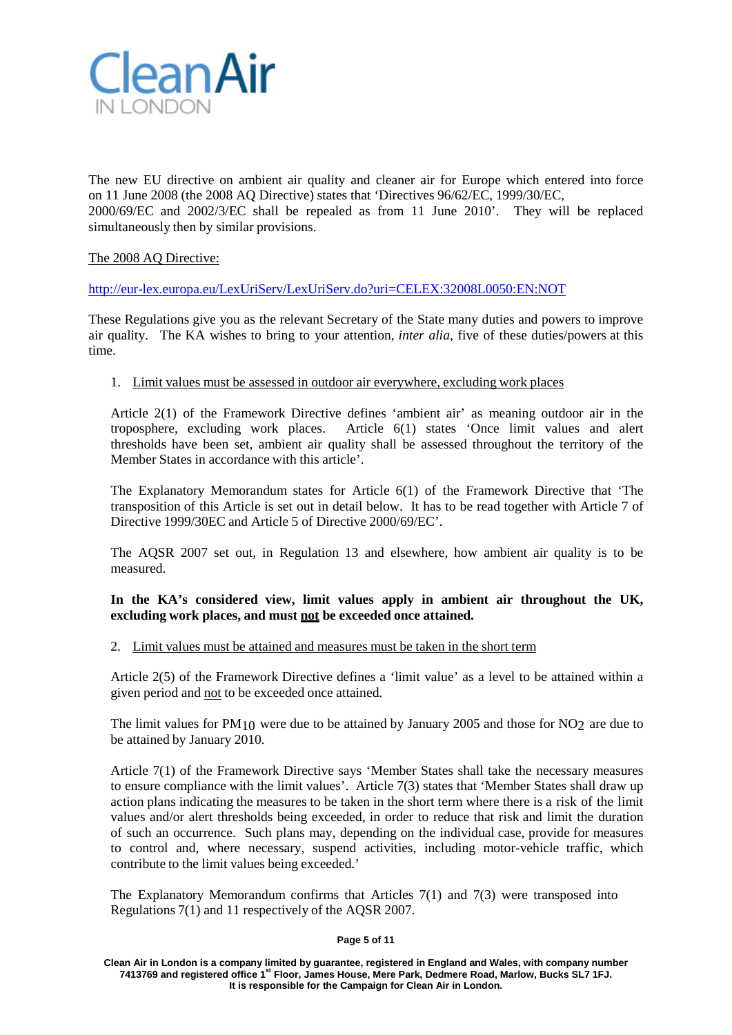

The new EU directive on ambient air quality and cleaner air for Europe which entered into force on 11 June 2008 (the 2008 AQ Directive) states that 'Directives 96/62/EC, 1999/30/EC, 2000/69/EC and 2002/3/EC shall be repealed as from 11 June 2010'. They will be replaced simultaneously then by similar provisions.

# The 2008 AQ Directive:

[http://eur-lex.europa.eu/LexUriServ/LexUriServ.do?uri=CELEX:32008L0050:EN:NOT](http://eur-lex.europa.eu/LexUriServ/LexUriServ.do?uri=CELEX%3A32008L0050%3AEN%3ANOT)

These Regulations give you as the relevant Secretary of the State many duties and powers to improve air quality. The KA wishes to bring to your attention, *inter alia*, five of these duties/powers at this time.

## 1. Limit values must be assessed in outdoor air everywhere, excluding work places

Article 2(1) of the Framework Directive defines 'ambient air' as meaning outdoor air in the troposphere, excluding work places. Article 6(1) states 'Once limit values and alert thresholds have been set, ambient air quality shall be assessed throughout the territory of the Member States in accordance with this article'.

The Explanatory Memorandum states for Article 6(1) of the Framework Directive that 'The transposition of this Article is set out in detail below. It has to be read together with Article 7 of Directive 1999/30EC and Article 5 of Directive 2000/69/EC'.

The AQSR 2007 set out, in Regulation 13 and elsewhere, how ambient air quality is to be measured.

## **In the KA's considered view, limit values apply in ambient air throughout the UK, excluding work places, and must not be exceeded once attained.**

# 2. Limit values must be attained and measures must be taken in the short term

Article 2(5) of the Framework Directive defines a 'limit value' as a level to be attained within a given period and not to be exceeded once attained.

The limit values for PM10 were due to be attained by January 2005 and those for NO2 are due to be attained by January 2010.

Article 7(1) of the Framework Directive says 'Member States shall take the necessary measures to ensure compliance with the limit values'. Article 7(3) states that 'Member States shall draw up action plans indicating the measures to be taken in the short term where there is a risk of the limit values and/or alert thresholds being exceeded, in order to reduce that risk and limit the duration of such an occurrence. Such plans may, depending on the individual case, provide for measures to control and, where necessary, suspend activities, including motor-vehicle traffic, which contribute to the limit values being exceeded.'

The Explanatory Memorandum confirms that Articles 7(1) and 7(3) were transposed into Regulations 7(1) and 11 respectively of the AQSR 2007.

#### **Page 5 of 11**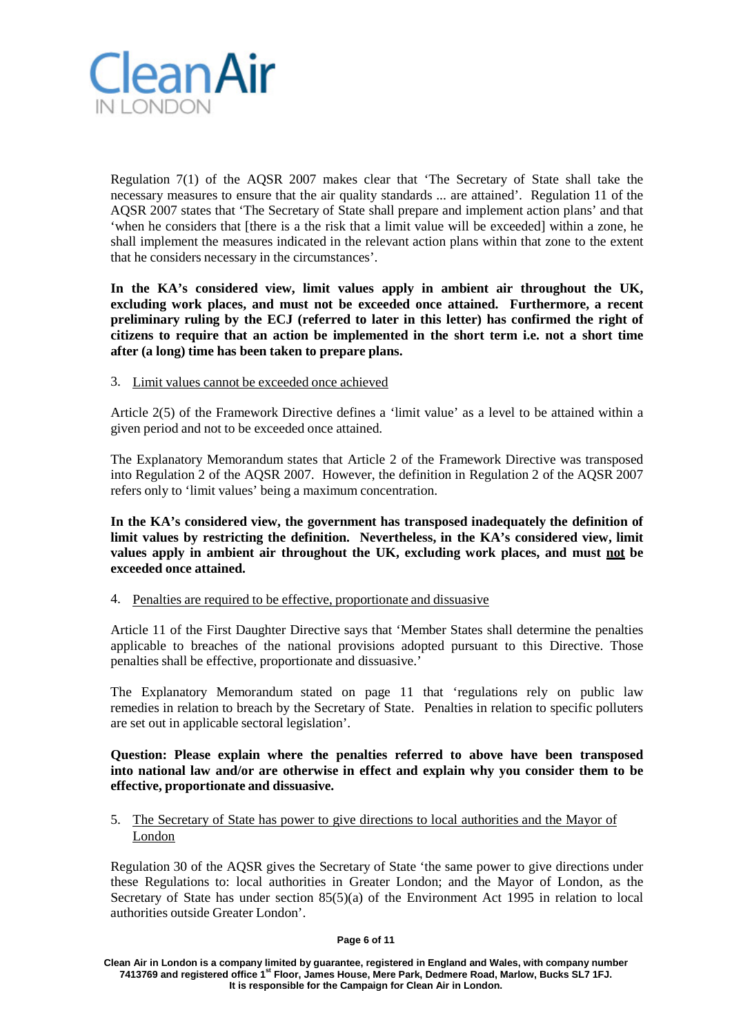

Regulation 7(1) of the AQSR 2007 makes clear that 'The Secretary of State shall take the necessary measures to ensure that the air quality standards ... are attained'. Regulation 11 of the AQSR 2007 states that 'The Secretary of State shall prepare and implement action plans' and that 'when he considers that [there is a the risk that a limit value will be exceeded] within a zone, he shall implement the measures indicated in the relevant action plans within that zone to the extent that he considers necessary in the circumstances'.

**In the KA's considered view, limit values apply in ambient air throughout the UK, excluding work places, and must not be exceeded once attained. Furthermore, a recent preliminary ruling by the ECJ (referred to later in this letter) has confirmed the right of citizens to require that an action be implemented in the short term i.e. not a short time after (a long) time has been taken to prepare plans.**

## 3. Limit values cannot be exceeded once achieved

Article 2(5) of the Framework Directive defines a 'limit value' as a level to be attained within a given period and not to be exceeded once attained.

The Explanatory Memorandum states that Article 2 of the Framework Directive was transposed into Regulation 2 of the AQSR 2007. However, the definition in Regulation 2 of the AQSR 2007 refers only to 'limit values' being a maximum concentration.

**In the KA's considered view, the government has transposed inadequately the definition of limit values by restricting the definition. Nevertheless, in the KA's considered view, limit values apply in ambient air throughout the UK, excluding work places, and must not be exceeded once attained.**

4. Penalties are required to be effective, proportionate and dissuasive

Article 11 of the First Daughter Directive says that 'Member States shall determine the penalties applicable to breaches of the national provisions adopted pursuant to this Directive. Those penalties shall be effective, proportionate and dissuasive.'

The Explanatory Memorandum stated on page 11 that 'regulations rely on public law remedies in relation to breach by the Secretary of State. Penalties in relation to specific polluters are set out in applicable sectoral legislation'.

# **Question: Please explain where the penalties referred to above have been transposed into national law and/or are otherwise in effect and explain why you consider them to be effective, proportionate and dissuasive.**

# 5. The Secretary of State has power to give directions to local authorities and the Mayor of London

Regulation 30 of the AQSR gives the Secretary of State 'the same power to give directions under these Regulations to: local authorities in Greater London; and the Mayor of London, as the Secretary of State has under section 85(5)(a) of the Environment Act 1995 in relation to local authorities outside Greater London'.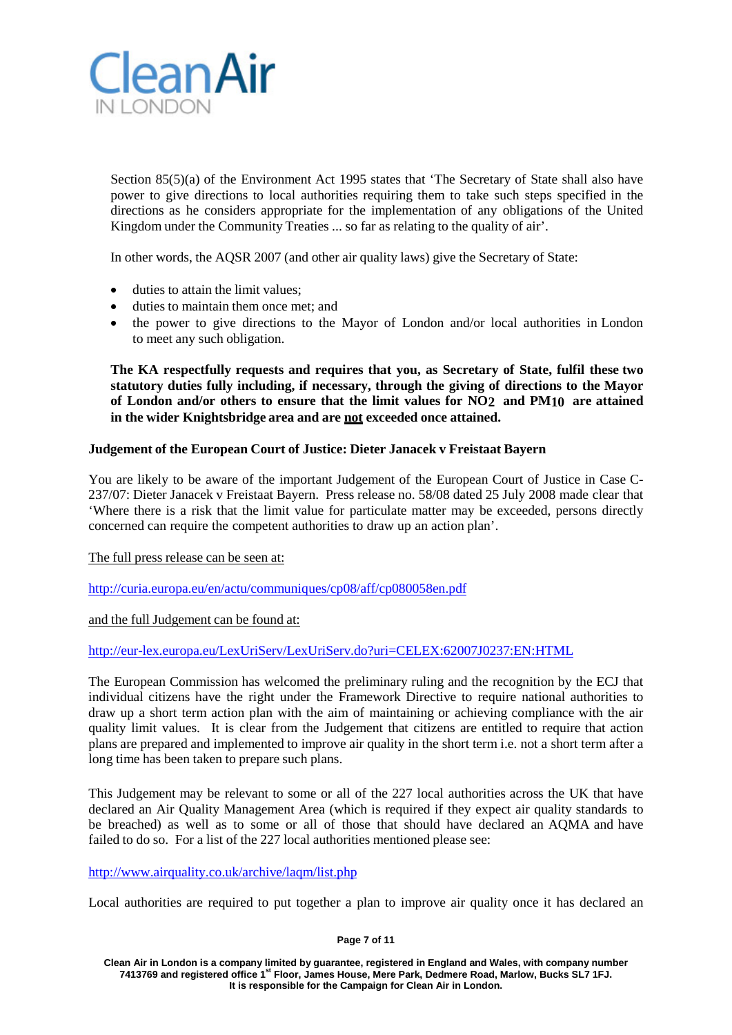

Section 85(5)(a) of the Environment Act 1995 states that 'The Secretary of State shall also have power to give directions to local authorities requiring them to take such steps specified in the directions as he considers appropriate for the implementation of any obligations of the United Kingdom under the Community Treaties ... so far as relating to the quality of air'.

In other words, the AQSR 2007 (and other air quality laws) give the Secretary of State:

- duties to attain the limit values:
- duties to maintain them once met: and
- the power to give directions to the Mayor of London and/or local authorities in London to meet any such obligation.

**The KA respectfully requests and requires that you, as Secretary of State, fulfil these two statutory duties fully including, if necessary, through the giving of directions to the Mayor of London and/or others to ensure that the limit values for NO2 and PM10 are attained in the wider Knightsbridge area and are not exceeded once attained.**

## **Judgement of the European Court of Justice: Dieter Janacek v Freistaat Bayern**

You are likely to be aware of the important Judgement of the European Court of Justice in Case C-237/07: Dieter Janacek v Freistaat Bayern. Press release no. 58/08 dated 25 July 2008 made clear that 'Where there is a risk that the limit value for particulate matter may be exceeded, persons directly concerned can require the competent authorities to draw up an action plan'.

The full press release can be seen at:

<http://curia.europa.eu/en/actu/communiques/cp08/aff/cp080058en.pdf>

and the full Judgement can be found at:

[http://eur-lex.europa.eu/LexUriServ/LexUriServ.do?uri=CELEX:62007J0237:EN:HTML](http://eur-lex.europa.eu/LexUriServ/LexUriServ.do?uri=CELEX%3A62007J0237%3AEN%3AHTML)

The European Commission has welcomed the preliminary ruling and the recognition by the ECJ that individual citizens have the right under the Framework Directive to require national authorities to draw up a short term action plan with the aim of maintaining or achieving compliance with the air quality limit values. It is clear from the Judgement that citizens are entitled to require that action plans are prepared and implemented to improve air quality in the short term i.e. not a short term after a long time has been taken to prepare such plans.

This Judgement may be relevant to some or all of the 227 local authorities across the UK that have declared an Air Quality Management Area (which is required if they expect air quality standards to be breached) as well as to some or all of those that should have declared an AQMA and have failed to do so. For a list of the 227 local authorities mentioned please see:

#### <http://www.airquality.co.uk/archive/laqm/list.php>

Local authorities are required to put together a plan to improve air quality once it has declared an

**Page 7 of 11**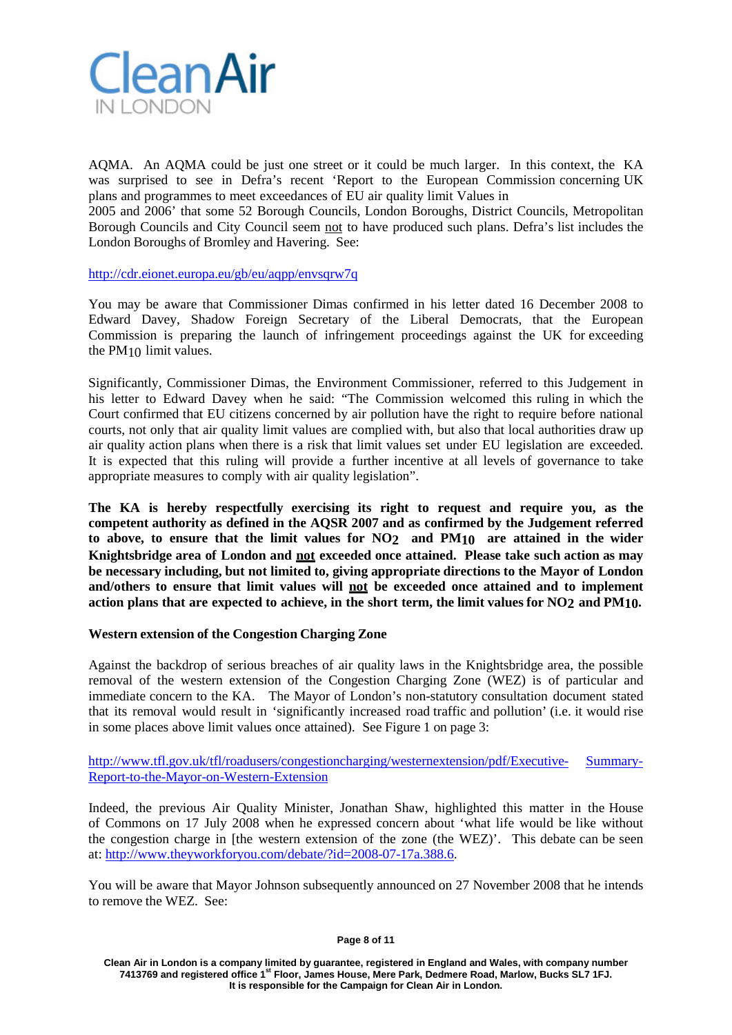

AQMA. An AQMA could be just one street or it could be much larger. In this context, the KA was surprised to see in Defra's recent 'Report to the European Commission concerning UK plans and programmes to meet exceedances of EU air quality limit Values in

2005 and 2006' that some 52 Borough Councils, London Boroughs, District Councils, Metropolitan Borough Councils and City Council seem not to have produced such plans. Defra's list includes the London Boroughs of Bromley and Havering. See:

<http://cdr.eionet.europa.eu/gb/eu/aqpp/envsqrw7q>

You may be aware that Commissioner Dimas confirmed in his letter dated 16 December 2008 to Edward Davey, Shadow Foreign Secretary of the Liberal Democrats, that the European Commission is preparing the launch of infringement proceedings against the UK for exceeding the PM10 limit values.

Significantly, Commissioner Dimas, the Environment Commissioner, referred to this Judgement in his letter to Edward Davey when he said: "The Commission welcomed this ruling in which the Court confirmed that EU citizens concerned by air pollution have the right to require before national courts, not only that air quality limit values are complied with, but also that local authorities draw up air quality action plans when there is a risk that limit values set under EU legislation are exceeded. It is expected that this ruling will provide a further incentive at all levels of governance to take appropriate measures to comply with air quality legislation".

**The KA is hereby respectfully exercising its right to request and require you, as the competent authority as defined in the AQSR 2007 and as confirmed by the Judgement referred to above, to ensure that the limit values for NO2 and PM10 are attained in the wider Knightsbridge area of London and not exceeded once attained. Please take such action as may be necessary including, but not limited to, giving appropriate directions to the Mayor of London and/others to ensure that limit values will not be exceeded once attained and to implement action plans that are expected to achieve, in the short term, the limit values for NO2 and PM10.**

## **Western extension of the Congestion Charging Zone**

Against the backdrop of serious breaches of air quality laws in the Knightsbridge area, the possible removal of the western extension of the Congestion Charging Zone (WEZ) is of particular and immediate concern to the KA. The Mayor of London's non-statutory consultation document stated that its removal would result in 'significantly increased road traffic and pollution' (i.e. it would rise in some places above limit values once attained). See Figure 1 on page 3:

<http://www.tfl.gov.uk/tfl/roadusers/congestioncharging/westernextension/pdf/Executive-> Summary-Report-to-the-Mayor-on-Western-Extension

Indeed, the previous Air Quality Minister, Jonathan Shaw, highlighted this matter in the House of Commons on 17 July 2008 when he expressed concern about 'what life would be like without the congestion charge in [the western extension of the zone (the WEZ)'. This debate can be seen at: [http://www.theyworkforyou.com/debate/?id=2008-07-17a.388.6.](http://www.theyworkforyou.com/debate/?id=2008-07-17a.388.6)

You will be aware that Mayor Johnson subsequently announced on 27 November 2008 that he intends to remove the WEZ. See:

#### **Page 8 of 11**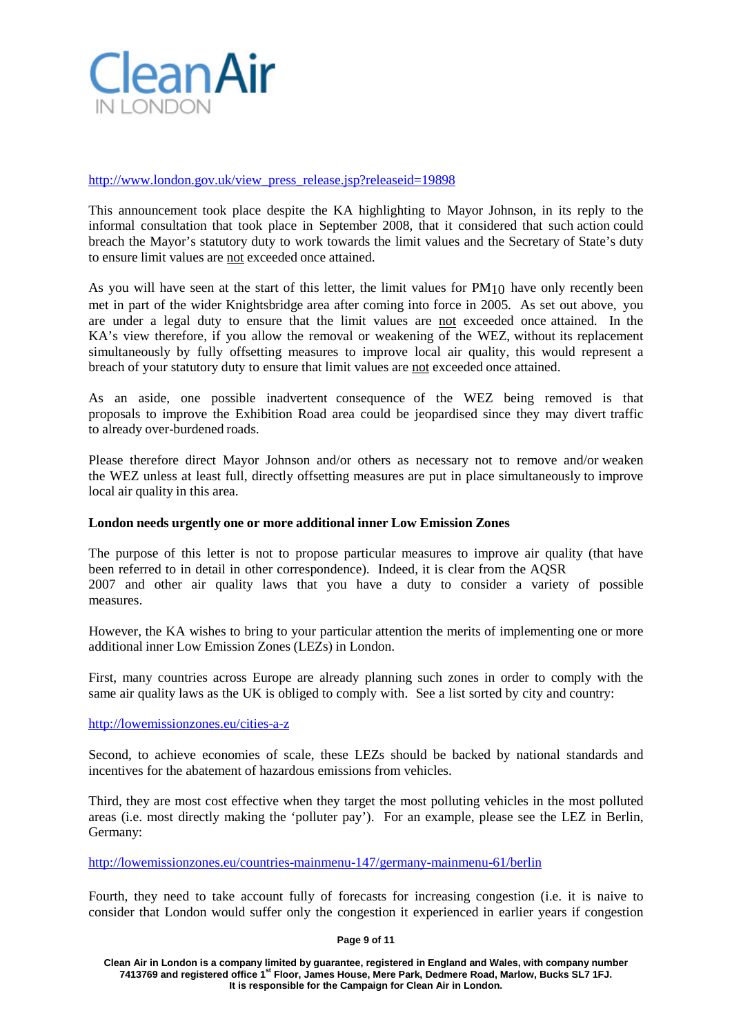

### [http://www.london.gov.uk/view\\_press\\_release.jsp?releaseid=19898](http://www.london.gov.uk/view_press_release.jsp?releaseid=19898)

This announcement took place despite the KA highlighting to Mayor Johnson, in its reply to the informal consultation that took place in September 2008, that it considered that such action could breach the Mayor's statutory duty to work towards the limit values and the Secretary of State's duty to ensure limit values are not exceeded once attained.

As you will have seen at the start of this letter, the limit values for PM10 have only recently been met in part of the wider Knightsbridge area after coming into force in 2005. As set out above, you are under a legal duty to ensure that the limit values are not exceeded once attained. In the KA's view therefore, if you allow the removal or weakening of the WEZ, without its replacement simultaneously by fully offsetting measures to improve local air quality, this would represent a breach of your statutory duty to ensure that limit values are not exceeded once attained.

As an aside, one possible inadvertent consequence of the WEZ being removed is that proposals to improve the Exhibition Road area could be jeopardised since they may divert traffic to already over-burdened roads.

Please therefore direct Mayor Johnson and/or others as necessary not to remove and/or weaken the WEZ unless at least full, directly offsetting measures are put in place simultaneously to improve local air quality in this area.

### **London needs urgently one or more additional inner Low Emission Zones**

The purpose of this letter is not to propose particular measures to improve air quality (that have been referred to in detail in other correspondence). Indeed, it is clear from the AQSR 2007 and other air quality laws that you have a duty to consider a variety of possible measures.

However, the KA wishes to bring to your particular attention the merits of implementing one or more additional inner Low Emission Zones (LEZs) in London.

First, many countries across Europe are already planning such zones in order to comply with the same air quality laws as the UK is obliged to comply with. See a list sorted by city and country:

<http://lowemissionzones.eu/cities-a-z>

Second, to achieve economies of scale, these LEZs should be backed by national standards and incentives for the abatement of hazardous emissions from vehicles.

Third, they are most cost effective when they target the most polluting vehicles in the most polluted areas (i.e. most directly making the 'polluter pay'). For an example, please see the LEZ in Berlin, Germany:

<http://lowemissionzones.eu/countries-mainmenu-147/germany-mainmenu-61/berlin>

Fourth, they need to take account fully of forecasts for increasing congestion (i.e. it is naive to consider that London would suffer only the congestion it experienced in earlier years if congestion

**Page 9 of 11**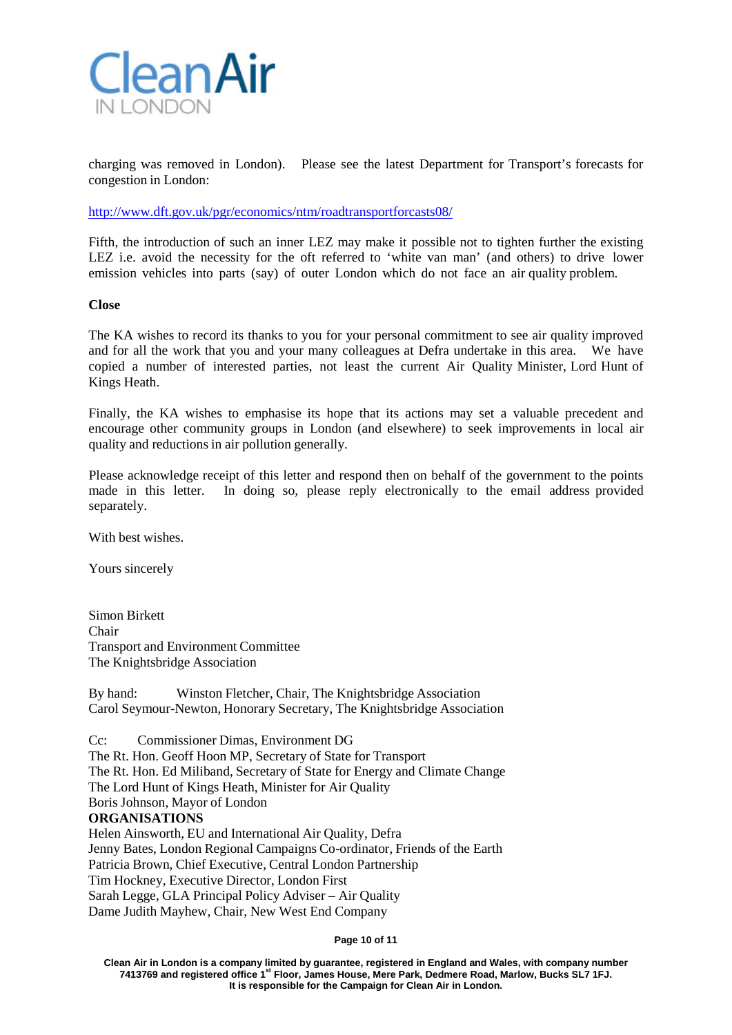

charging was removed in London). Please see the latest Department for Transport's forecasts for congestion in London:

<http://www.dft.gov.uk/pgr/economics/ntm/roadtransportforcasts08/>

Fifth, the introduction of such an inner LEZ may make it possible not to tighten further the existing LEZ i.e. avoid the necessity for the oft referred to 'white van man' (and others) to drive lower emission vehicles into parts (say) of outer London which do not face an air quality problem.

### **Close**

The KA wishes to record its thanks to you for your personal commitment to see air quality improved and for all the work that you and your many colleagues at Defra undertake in this area. We have copied a number of interested parties, not least the current Air Quality Minister, Lord Hunt of Kings Heath.

Finally, the KA wishes to emphasise its hope that its actions may set a valuable precedent and encourage other community groups in London (and elsewhere) to seek improvements in local air quality and reductions in air pollution generally.

Please acknowledge receipt of this letter and respond then on behalf of the government to the points made in this letter. In doing so, please reply electronically to the email address provided separately.

With best wishes.

Yours sincerely

Simon Birkett Chair Transport and Environment Committee The Knightsbridge Association

By hand: Winston Fletcher, Chair, The Knightsbridge Association Carol Seymour-Newton, Honorary Secretary, The Knightsbridge Association

Cc: Commissioner Dimas, Environment DG The Rt. Hon. Geoff Hoon MP, Secretary of State for Transport The Rt. Hon. Ed Miliband, Secretary of State for Energy and Climate Change The Lord Hunt of Kings Heath, Minister for Air Quality Boris Johnson, Mayor of London **ORGANISATIONS** Helen Ainsworth, EU and International Air Quality, Defra Jenny Bates, London Regional Campaigns Co-ordinator, Friends of the Earth Patricia Brown, Chief Executive, Central London Partnership Tim Hockney, Executive Director, London First Sarah Legge, GLA Principal Policy Adviser – Air Quality Dame Judith Mayhew, Chair, New West End Company

**Page 10 of 11**